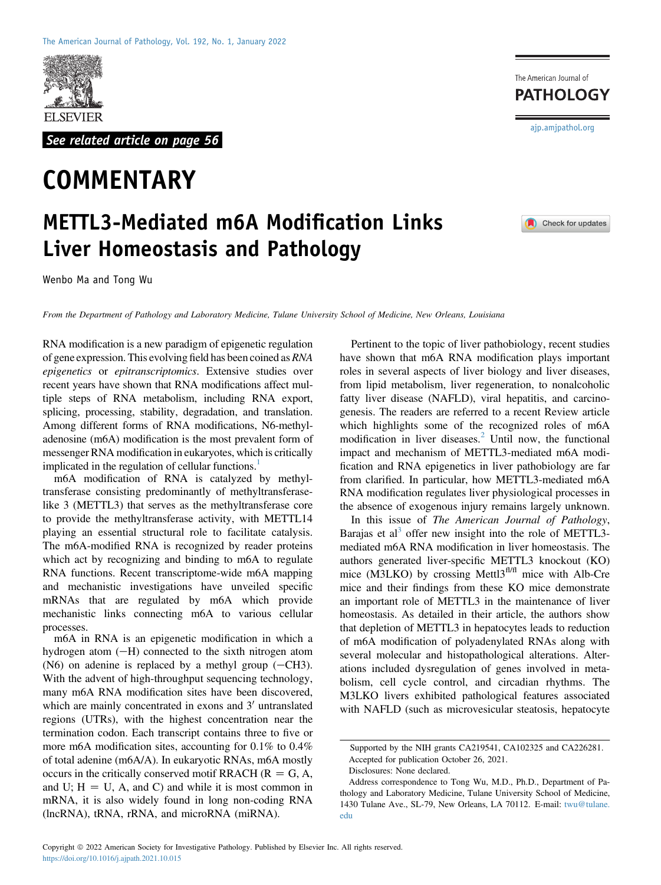

See related article on page 56

## **COMMENTARY**

## METTL3-Mediated m6A Modification Links Liver Homeostasis and Pathology

Wenbo Ma and Tong Wu

From the Department of Pathology and Laboratory Medicine, Tulane University School of Medicine, New Orleans, Louisiana

RNA modification is a new paradigm of epigenetic regulation of gene expression. This evolving field has been coined as RNA epigenetics or epitranscriptomics. Extensive studies over recent years have shown that RNA modifications affect multiple steps of RNA metabolism, including RNA export, splicing, processing, stability, degradation, and translation. Among different forms of RNA modifications, N6-methyladenosine (m6A) modification is the most prevalent form of messenger RNA modification in eukaryotes, which is critically implicated in the regulation of cellular functions.<sup>1</sup>

m6A modification of RNA is catalyzed by methyltransferase consisting predominantly of methyltransferaselike 3 (METTL3) that serves as the methyltransferase core to provide the methyltransferase activity, with METTL14 playing an essential structural role to facilitate catalysis. The m6A-modified RNA is recognized by reader proteins which act by recognizing and binding to m6A to regulate RNA functions. Recent transcriptome-wide m6A mapping and mechanistic investigations have unveiled specific mRNAs that are regulated by m6A which provide mechanistic links connecting m6A to various cellular processes.

m6A in RNA is an epigenetic modification in which a hydrogen atom  $(-H)$  connected to the sixth nitrogen atom (N6) on adenine is replaced by a methyl group  $(-CH3)$ . With the advent of high-throughput sequencing technology, many m6A RNA modification sites have been discovered, which are mainly concentrated in exons and  $3'$  untranslated regions (UTRs), with the highest concentration near the termination codon. Each transcript contains three to five or more m6A modification sites, accounting for 0.1% to 0.4% of total adenine (m6A/A). In eukaryotic RNAs, m6A mostly occurs in the critically conserved motif RRACH ( $R = G, A$ , and U;  $H = U$ , A, and C) and while it is most common in mRNA, it is also widely found in long non-coding RNA (lncRNA), tRNA, rRNA, and microRNA (miRNA).

Pertinent to the topic of liver pathobiology, recent studies have shown that m6A RNA modification plays important roles in several aspects of liver biology and liver diseases, from lipid metabolism, liver regeneration, to nonalcoholic fatty liver disease (NAFLD), viral hepatitis, and carcinogenesis. The readers are referred to a recent Review article which highlights some of the recognized roles of m6A modification in liver diseases. $<sup>2</sup>$  Until now, the functional</sup> impact and mechanism of METTL3-mediated m6A modification and RNA epigenetics in liver pathobiology are far from clarified. In particular, how METTL3-mediated m6A RNA modification regulates liver physiological processes in the absence of exogenous injury remains largely unknown.

In this issue of The American Journal of Pathology, Barajas et al<sup>[3](#page-2-2)</sup> offer new insight into the role of METTL3mediated m6A RNA modification in liver homeostasis. The authors generated liver-specific METTL3 knockout (KO) mice (M3LKO) by crossing Mettl $3<sup>f</sup>$ fl mice with Alb-Cre mice and their findings from these KO mice demonstrate an important role of METTL3 in the maintenance of liver homeostasis. As detailed in their article, the authors show that depletion of METTL3 in hepatocytes leads to reduction of m6A modification of polyadenylated RNAs along with several molecular and histopathological alterations. Alterations included dysregulation of genes involved in metabolism, cell cycle control, and circadian rhythms. The M3LKO livers exhibited pathological features associated with NAFLD (such as microvesicular steatosis, hepatocyte

[ajp.amjpathol.org](http://ajp.amjpathol.org)

The American Journal of **PATHOLOGY** 



Supported by the NIH grants CA219541, CA102325 and CA226281.

Accepted for publication October 26, 2021. Disclosures: None declared.

Address correspondence to Tong Wu, M.D., Ph.D., Department of Pathology and Laboratory Medicine, Tulane University School of Medicine, 1430 Tulane Ave., SL-79, New Orleans, LA 70112. E-mail: [twu@tulane.](mailto:twu@tulane.edu) [edu](mailto:twu@tulane.edu)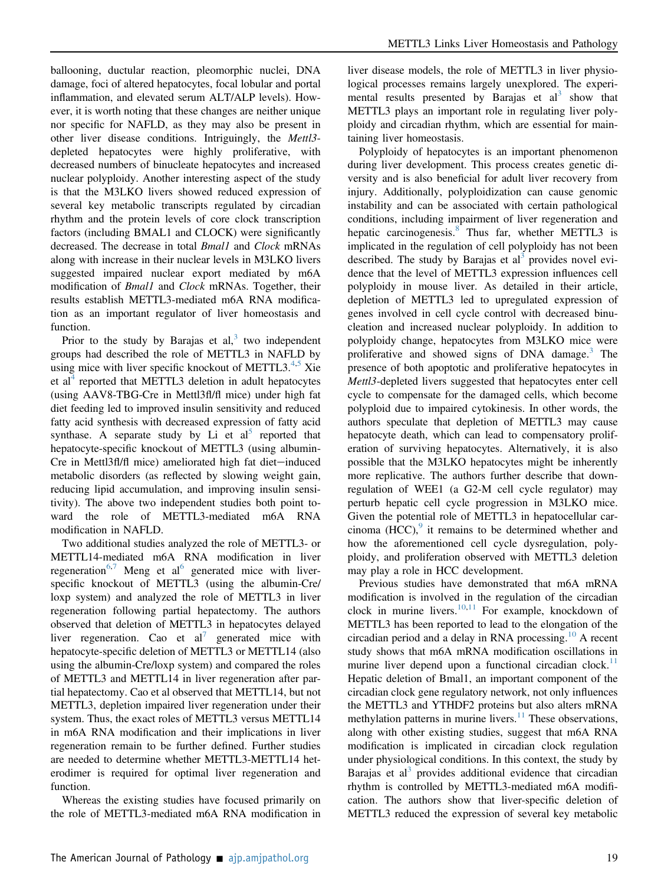ballooning, ductular reaction, pleomorphic nuclei, DNA damage, foci of altered hepatocytes, focal lobular and portal inflammation, and elevated serum ALT/ALP levels). However, it is worth noting that these changes are neither unique nor specific for NAFLD, as they may also be present in other liver disease conditions. Intriguingly, the Mettl3 depleted hepatocytes were highly proliferative, with decreased numbers of binucleate hepatocytes and increased nuclear polyploidy. Another interesting aspect of the study is that the M3LKO livers showed reduced expression of several key metabolic transcripts regulated by circadian rhythm and the protein levels of core clock transcription factors (including BMAL1 and CLOCK) were significantly decreased. The decrease in total *Bmal1* and *Clock* mRNAs along with increase in their nuclear levels in M3LKO livers suggested impaired nuclear export mediated by m6A modification of *Bmal1* and *Clock* mRNAs. Together, their results establish METTL3-mediated m6A RNA modification as an important regulator of liver homeostasis and function.

Prior to the study by Barajas et  $al$ ,<sup>[3](#page-2-2)</sup> two independent groups had described the role of METTL3 in NAFLD by using mice with liver specific knockout of METTL3. $4,5$  $4,5$  Xie et al<sup>[4](#page-2-3)</sup> reported that METTL3 deletion in adult hepatocytes (using AAV8-TBG-Cre in Mettl3fl/fl mice) under high fat diet feeding led to improved insulin sensitivity and reduced fatty acid synthesis with decreased expression of fatty acid synthase. A separate study by Li et  $al<sup>5</sup>$  $al<sup>5</sup>$  $al<sup>5</sup>$  reported that hepatocyte-specific knockout of METTL3 (using albumin-Cre in Mettl3fl/fl mice) ameliorated high fat diet-induced metabolic disorders (as reflected by slowing weight gain, reducing lipid accumulation, and improving insulin sensitivity). The above two independent studies both point toward the role of METTL3-mediated m6A RNA modification in NAFLD.

Two additional studies analyzed the role of METTL3- or METTL14-mediated m6A RNA modification in liver regeneration<sup>[6,](#page-2-5)[7](#page-2-6)</sup> Meng et al<sup>6</sup> generated mice with liverspecific knockout of METTL3 (using the albumin-Cre/ loxp system) and analyzed the role of METTL3 in liver regeneration following partial hepatectomy. The authors observed that deletion of METTL3 in hepatocytes delayed liver regeneration. Cao et al<sup> $\prime$ </sup> generated mice with hepatocyte-specific deletion of METTL3 or METTL14 (also using the albumin-Cre/loxp system) and compared the roles of METTL3 and METTL14 in liver regeneration after partial hepatectomy. Cao et al observed that METTL14, but not METTL3, depletion impaired liver regeneration under their system. Thus, the exact roles of METTL3 versus METTL14 in m6A RNA modification and their implications in liver regeneration remain to be further defined. Further studies are needed to determine whether METTL3-METTL14 heterodimer is required for optimal liver regeneration and function.

Whereas the existing studies have focused primarily on the role of METTL3-mediated m6A RNA modification in

liver disease models, the role of METTL3 in liver physiological processes remains largely unexplored. The experimental results presented by Barajas et  $al<sup>3</sup>$  $al<sup>3</sup>$  $al<sup>3</sup>$  show that METTL3 plays an important role in regulating liver polyploidy and circadian rhythm, which are essential for maintaining liver homeostasis.

Polyploidy of hepatocytes is an important phenomenon during liver development. This process creates genetic diversity and is also beneficial for adult liver recovery from injury. Additionally, polyploidization can cause genomic instability and can be associated with certain pathological conditions, including impairment of liver regeneration and hepatic carcinogenesis.<sup>[8](#page-2-7)</sup> Thus far, whether METTL3 is implicated in the regulation of cell polyploidy has not been described. The study by Barajas et al<sup>[3](#page-2-2)</sup> provides novel evidence that the level of METTL3 expression influences cell polyploidy in mouse liver. As detailed in their article, depletion of METTL3 led to upregulated expression of genes involved in cell cycle control with decreased binucleation and increased nuclear polyploidy. In addition to polyploidy change, hepatocytes from M3LKO mice were proliferative and showed signs of DNA damage.<sup>[3](#page-2-2)</sup> The presence of both apoptotic and proliferative hepatocytes in Mettl3-depleted livers suggested that hepatocytes enter cell cycle to compensate for the damaged cells, which become polyploid due to impaired cytokinesis. In other words, the authors speculate that depletion of METTL3 may cause hepatocyte death, which can lead to compensatory proliferation of surviving hepatocytes. Alternatively, it is also possible that the M3LKO hepatocytes might be inherently more replicative. The authors further describe that downregulation of WEE1 (a G2-M cell cycle regulator) may perturb hepatic cell cycle progression in M3LKO mice. Given the potential role of METTL3 in hepatocellular carcinoma  $(HCC)$ , it remains to be determined whether and how the aforementioned cell cycle dysregulation, polyploidy, and proliferation observed with METTL3 deletion may play a role in HCC development.

Previous studies have demonstrated that m6A mRNA modification is involved in the regulation of the circadian clock in murine livers.<sup>[10](#page-2-9)[,11](#page-2-10)</sup> For example, knockdown of METTL3 has been reported to lead to the elongation of the circadian period and a delay in RNA processing. $10$  A recent study shows that m6A mRNA modification oscillations in murine liver depend upon a functional circadian clock.<sup>[11](#page-2-10)</sup> Hepatic deletion of Bmal1, an important component of the circadian clock gene regulatory network, not only influences the METTL3 and YTHDF2 proteins but also alters mRNA methylation patterns in murine livers. $11$  These observations, along with other existing studies, suggest that m6A RNA modification is implicated in circadian clock regulation under physiological conditions. In this context, the study by Barajas et al<sup>[3](#page-2-2)</sup> provides additional evidence that circadian rhythm is controlled by METTL3-mediated m6A modification. The authors show that liver-specific deletion of METTL3 reduced the expression of several key metabolic